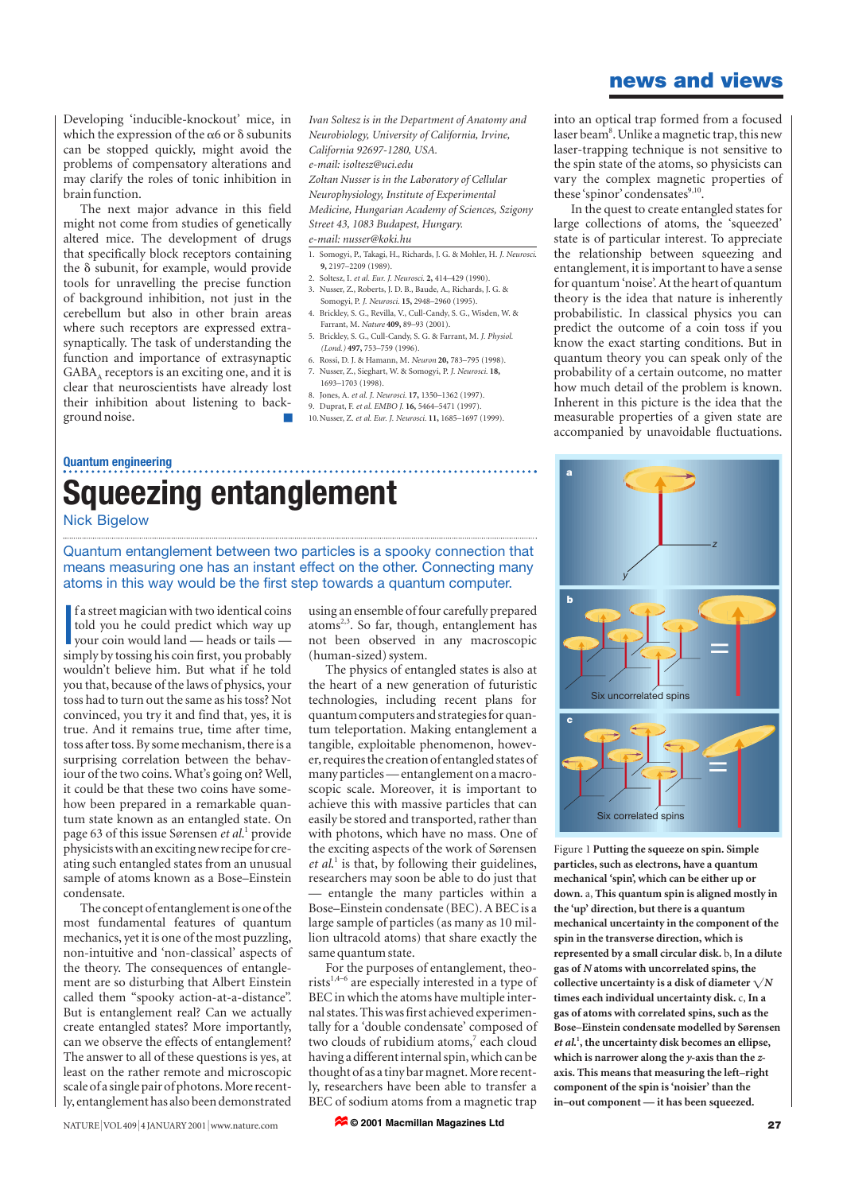## **news and views**

Developing 'inducible-knockout' mice, in which the expression of the  $\alpha$ 6 or  $\delta$  subunits can be stopped quickly, might avoid the problems of compensatory alterations and may clarify the roles of tonic inhibition in brain function.

The next major advance in this field might not come from studies of genetically altered mice. The development of drugs that specifically block receptors containing the  $\delta$  subunit, for example, would provide tools for unravelling the precise function of background inhibition, not just in the cerebellum but also in other brain areas where such receptors are expressed extrasynaptically. The task of understanding the function and importance of extrasynaptic  $GABA<sub>A</sub>$  receptors is an exciting one, and it is clear that neuroscientists have already lost their inhibition about listening to background noise.

*Ivan Soltesz is in the Department of Anatomy and Neurobiology, University of California, Irvine, California 92697-1280, USA. e-mail: isoltesz@uci.edu*

*Zoltan Nusser is in the Laboratory of Cellular*

*Neurophysiology, Institute of Experimental Medicine, Hungarian Academy of Sciences, Szigony*

*Street 43, 1083 Budapest, Hungary.*

### *e-mail: nusser@koki.hu*

- 1. Somogyi, P., Takagi, H., Richards, J. G. & Mohler, H. *J. Neurosci.* **9,** 2197–2209 (1989).
- 2. Soltesz, I. *et al. Eur. J. Neurosci.* **2,** 414–429 (1990).
- 3. Nusser, Z., Roberts, J. D. B., Baude, A., Richards, J. G. & Somogyi, P. *J. Neurosci.* **15,** 2948–2960 (1995).
- 4. Brickley, S. G., Revilla, V., Cull-Candy, S. G., Wisden, W. & Farrant, M. *Nature* **409,** 89–93 (2001).
- 5. Brickley, S. G., Cull-Candy, S. G. & Farrant, M. *J. Physiol. (Lond.)* **497,** 753–759 (1996).
- 6. Rossi, D. J. & Hamann, M. *Neuron* **20,** 783–795 (1998).
- 7. Nusser, Z., Sieghart, W. & Somogyi, P. *J. Neurosci.* **18,** 1693–1703 (1998).
- 8. Jones, A. *et al. J. Neurosci.* **17,** 1350–1362 (1997). 9. Duprat, F. *et al. EMBO J.* **16,** 5464–5471 (1997).
- 10.Nusser, Z. *et al. Eur. J. Neurosci.* **11,** 1685–1697 (1999).

into an optical trap formed from a focused laser beam<sup>8</sup>. Unlike a magnetic trap, this new laser-trapping technique is not sensitive to the spin state of the atoms, so physicists can vary the complex magnetic properties of these 'spinor' condensates<sup>9,10</sup>.

In the quest to create entangled states for large collections of atoms, the 'squeezed' state is of particular interest. To appreciate the relationship between squeezing and entanglement, it is important to have a sense for quantum 'noise'. At the heart of quantum theory is the idea that nature is inherently probabilistic. In classical physics you can predict the outcome of a coin toss if you know the exact starting conditions. But in quantum theory you can speak only of the probability of a certain outcome, no matter how much detail of the problem is known. Inherent in this picture is the idea that the measurable properties of a given state are accompanied by unavoidable fluctuations.



Nick Bigelow

Quantum entanglement between two particles is a spooky connection that means measuring one has an instant effect on the other. Connecting many atoms in this way would be the first step towards a quantum computer.

If a street magician with two identical coins<br>told you he could predict which way up<br>your coin would land — heads or tails —<br>simply by tossing his coin first, you probably f a street magician with two identical coins told you he could predict which way up your coin would land — heads or tails wouldn't believe him. But what if he told you that, because of the laws of physics, your toss had to turn out the same as his toss? Not convinced, you try it and find that, yes, it is true. And it remains true, time after time, toss after toss. By some mechanism, there is a surprising correlation between the behaviour of the two coins. What's going on? Well, it could be that these two coins have somehow been prepared in a remarkable quantum state known as an entangled state. On page 63 of this issue Sørensen *et al*. <sup>1</sup> provide physicists with an exciting new recipe for creating such entangled states from an unusual sample of atoms known as a Bose–Einstein condensate.

The concept of entanglement is one of the most fundamental features of quantum mechanics, yet it is one of the most puzzling, non-intuitive and 'non-classical' aspects of the theory. The consequences of entanglement are so disturbing that Albert Einstein called them "spooky action-at-a-distance". But is entanglement real? Can we actually create entangled states? More importantly, can we observe the effects of entanglement? The answer to all of these questions is yes, at least on the rather remote and microscopic scale of a single pair of photons. More recently, entanglement has also been demonstrated

using an ensemble of four carefully prepared atoms<sup>2,3</sup>. So far, though, entanglement has not been observed in any macroscopic (human-sized) system.

The physics of entangled states is also at the heart of a new generation of futuristic technologies, including recent plans for quantum computers and strategies for quantum teleportation. Making entanglement a tangible, exploitable phenomenon, however, requires the creation of entangled states of many particles — entanglement on a macroscopic scale. Moreover, it is important to achieve this with massive particles that can easily be stored and transported, rather than with photons, which have no mass. One of the exciting aspects of the work of Sørensen *et al*. <sup>1</sup> is that, by following their guidelines, researchers may soon be able to do just that — entangle the many particles within a Bose–Einstein condensate (BEC). A BEC is a large sample of particles (as many as 10 million ultracold atoms) that share exactly the same quantum state.

For the purposes of entanglement, theorists<sup>1,4–6</sup> are especially interested in a type of BEC in which the atoms have multiple internal states. This was first achieved experimentally for a 'double condensate' composed of two clouds of rubidium atoms, $^7$  each cloud having a different internal spin, which can be thought of as a tiny bar magnet. More recently, researchers have been able to transfer a BEC of sodium atoms from a magnetic trap

 $NATURE|VOL 409|4$  JANUARY 2001 |www.nature.com **27** © 2001 Macmillan Magazines Ltd **© 2001 Macmillan Magazines Ltd**



Figure 1 **Putting the squeeze on spin. Simple particles, such as electrons, have a quantum mechanical 'spin', which can be either up or down.** a, **This quantum spin is aligned mostly in the 'up' direction, but there is a quantum mechanical uncertainty in the component of the spin in the transverse direction, which is represented by a small circular disk.** b, **In a dilute gas of** *N* **atoms with uncorrelated spins, the collective uncertainty is a disk of diameter**  $\sqrt{N}$ **times each individual uncertainty disk.** c, **In a gas of atoms with correlated spins, such as the Bose–Einstein condensate modelled by Sørensen** *et al***. 1 , the uncertainty disk becomes an ellipse, which is narrower along the** *y***-axis than the** *z***axis. This means that measuring the left–right component of the spin is 'noisier' than the in–out component — it has been squeezed.**

Six correlated spins